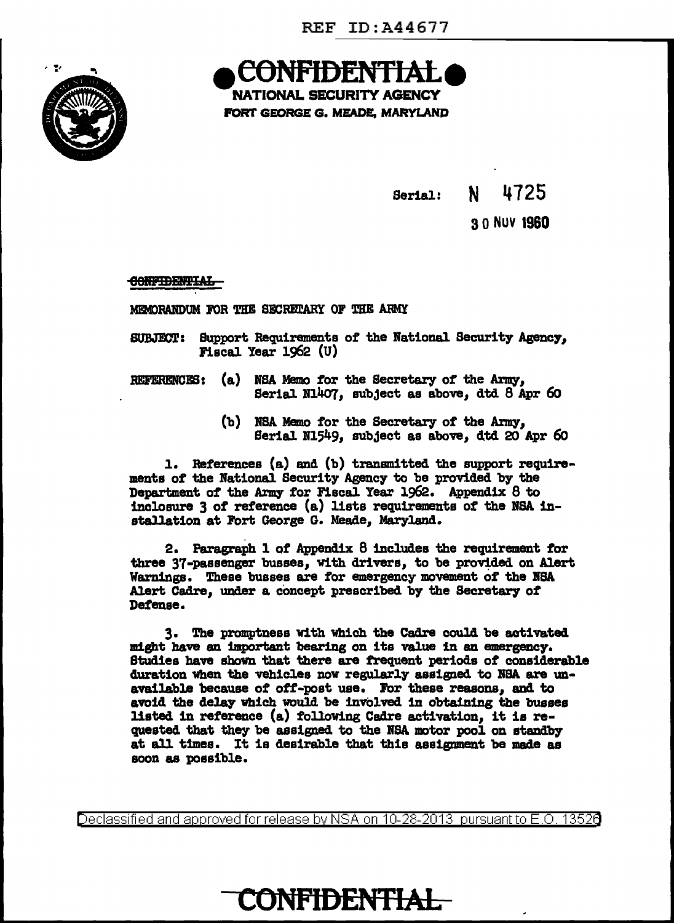

**NATIONAL SECURITY AGENCY** 

FORT GEORGE G. MEADE, MARYLAND

4725 N. Serial:

3.0 NUV 1960

**CONFIDENTIAL** 

MEMORANDUM FOR THE SECRETARY OF THE ARMY

- SUBJECT: Support Requirements of the National Security Agency, Fiscal Year 1962 (U)
- (a) NSA Memo for the Secretary of the Army. **REFERENCES:** Serial N1407, subject as above, dtd 8 Apr 60
	- (b) NSA Memo for the Secretary of the Army, Serial N1549, subject as above, dtd 20 Apr 60

1. References (a) and (b) transmitted the support requirements of the National Security Agency to be provided by the Department of the Army for Fiscal Year 1962. Appendix 8 to inclosure 3 of reference (a) lists requirements of the NSA installation at Fort George G. Meade, Maryland.

2. Paragraph 1 of Appendix 8 includes the requirement for three 37-passenger busses, with drivers, to be provided on Alert Warnings. These busses are for emergency movement of the NSA Alert Cadre, under a concept prescribed by the Secretary of Defense.

3. The promptness with which the Cadre could be activated might have an important bearing on its value in an emergency. Studies have shown that there are frequent periods of considerable duration when the vehicles now regularly assigned to NSA are unavailable because of off-post use. For these reasons, and to avoid the delay which would be involved in obtaining the busses listed in reference (a) following Cadre activation, it is requested that they be assigned to the NSA motor pool on standby at all times. It is desirable that this assignment be made as soon as possible.

Declassified and approved for release by NSA on 10-28-2013 pursuant to E.O. 13526

## **CONFIDENTIAL**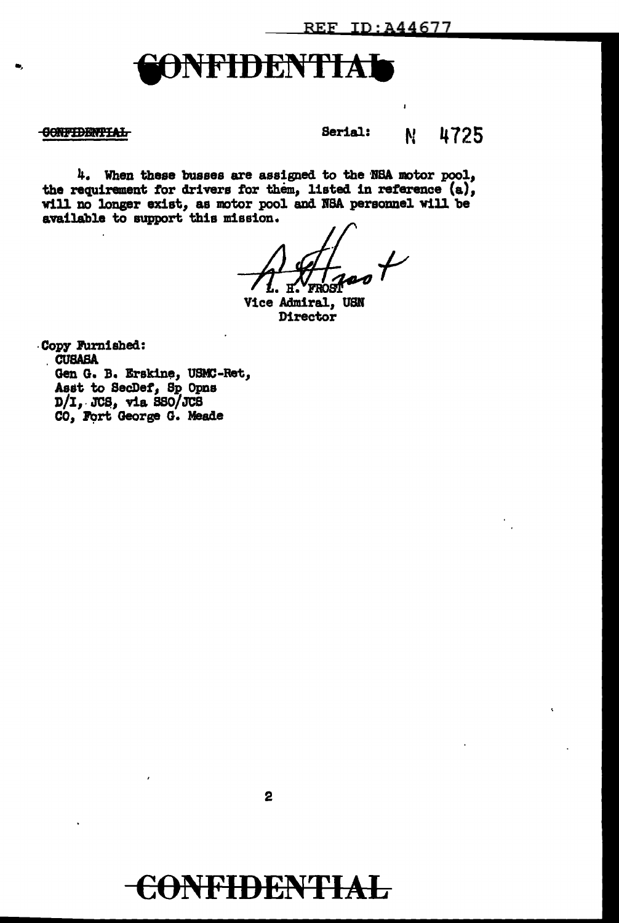## **\FIDENTIAl**

## **CONFIDENTIAL**

Serial: N. 4725

4. When these busses are assigned to the NSA motor pool, the requirement for drivers for them, listed in reference (a), will no longer exist, as motor pool and NSA personnel will be available to support this mission.

Vice Admiral, USN Director

Copy Furnished: **CUSABA** Gen G. B. Erskine, USMC-Ret, Asst to SecDef, Sp Opns D/I, JCS, via SSO/JCS<br>CO, Fort George G. Meade

 $\mathbf{2}$ 

## **CONFIDENTIAL**